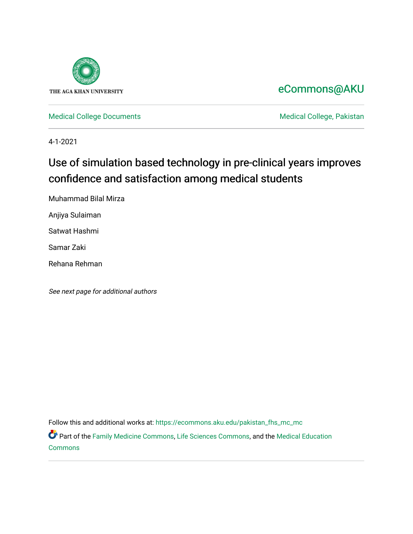

# [eCommons@AKU](https://ecommons.aku.edu/)

[Medical College Documents](https://ecommons.aku.edu/pakistan_fhs_mc_mc) **Medical College, Pakistan** 

4-1-2021

# Use of simulation based technology in pre-clinical years improves confidence and satisfaction among medical students

Muhammad Bilal Mirza

Anjiya Sulaiman

Satwat Hashmi

Samar Zaki

Rehana Rehman

See next page for additional authors

Follow this and additional works at: [https://ecommons.aku.edu/pakistan\\_fhs\\_mc\\_mc](https://ecommons.aku.edu/pakistan_fhs_mc_mc?utm_source=ecommons.aku.edu%2Fpakistan_fhs_mc_mc%2F215&utm_medium=PDF&utm_campaign=PDFCoverPages) 

Part of the [Family Medicine Commons](http://network.bepress.com/hgg/discipline/1354?utm_source=ecommons.aku.edu%2Fpakistan_fhs_mc_mc%2F215&utm_medium=PDF&utm_campaign=PDFCoverPages), [Life Sciences Commons](http://network.bepress.com/hgg/discipline/1016?utm_source=ecommons.aku.edu%2Fpakistan_fhs_mc_mc%2F215&utm_medium=PDF&utm_campaign=PDFCoverPages), and the [Medical Education](http://network.bepress.com/hgg/discipline/1125?utm_source=ecommons.aku.edu%2Fpakistan_fhs_mc_mc%2F215&utm_medium=PDF&utm_campaign=PDFCoverPages) [Commons](http://network.bepress.com/hgg/discipline/1125?utm_source=ecommons.aku.edu%2Fpakistan_fhs_mc_mc%2F215&utm_medium=PDF&utm_campaign=PDFCoverPages)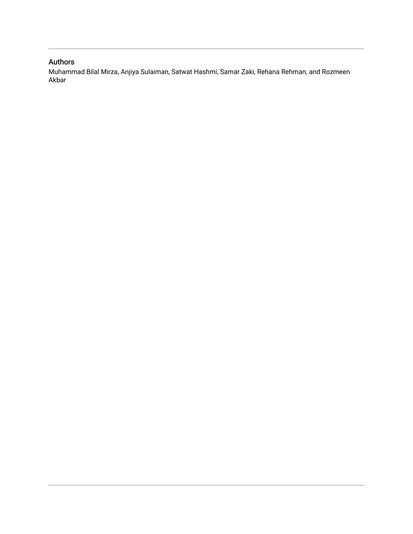### Authors

Muhammad Bilal Mirza, Anjiya Sulaiman, Satwat Hashmi, Samar Zaki, Rehana Rehman, and Rozmeen Akbar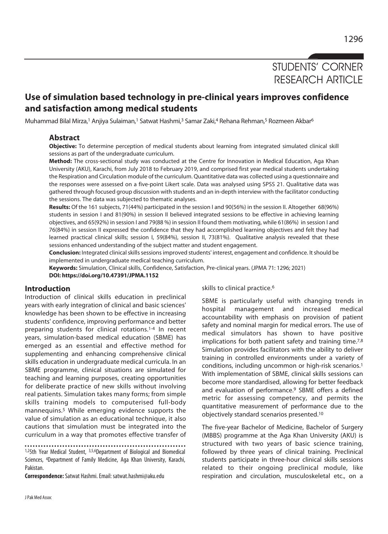STUDENTS' CORNER RESEARCH ARTICLE

## **Use of simulation based technology in pre-clinical years improves confidence and satisfaction among medical students**

Muhammad Bilal Mirza,<sup>1</sup> Anjiya Sulaiman,<sup>1</sup> Satwat Hashmi,<sup>3</sup> Samar Zaki,<sup>4</sup> Rehana Rehman,<sup>5</sup> Rozmeen Akbar<sup>6</sup>

#### **Abstract**

**Objective:** To determine perception of medical students about learning from integrated simulated clinical skill sessions as part of the undergraduate curriculum.

**Method:** The cross-sectional study was conducted at the Centre for Innovation in Medical Education, Aga Khan University (AKU), Karachi, from July 2018 to February 2019, and comprised first year medical students undertaking the Respiration and Circulation module of the curriculum. Quantitative data was collected using a questionnaire and the responses were assessed on a five-point Likert scale. Data was analysed using SPSS 21. Qualitative data was gathered through focused group discussion with students and an in-depth interview with the facilitator conducting the sessions. The data was subjected to thematic analyses.

**Results:** Of the 161 subjects, 71(44%) participated in the session I and 90(56%) in the session II. Altogether 68(96%) students in session I and 81(90%) in session II believed integrated sessions to be effective in achieving learning objectives, and 65(92%) in session I and 79(88 %) in session II found them motivating, while 61(86%) in session I and 76(84%) in session II expressed the confidence that they had accomplished learning objectives and felt they had learned practical clinical skills; session I, 59(84%), session II, 73(81%). Qualitative analysis revealed that these sessions enhanced understanding of the subject matter and student engagement.

**Conclusion:** Integrated clinical skills sessions improved students' interest, engagement and confidence. It should be implemented in undergraduate medical teaching curriculum.

**Keywords:** Simulation, Clinical skills, Confidence, Satisfaction, Pre-clinical years. (JPMA 71: 1296; 2021) **DOI: https://doi.org/10.47391/JPMA.1152**

#### **Introduction**

Introduction of clinical skills education in preclinical years with early integration of clinical and basic sciences' knowledge has been shown to be effective in increasing students' confidence, improving performance and better preparing students for clinical rotations.1-4 In recent years, simulation-based medical education (SBME) has emerged as an essential and effective method for supplementing and enhancing comprehensive clinical skills education in undergraduate medical curricula. In an SBME programme, clinical situations are simulated for teaching and learning purposes, creating opportunities for deliberate practice of new skills without involving real patients. Simulation takes many forms; from simple skills training models to computerised full-body mannequins.5 While emerging evidence supports the value of simulation as an educational technique, it also cautions that simulation must be integrated into the curriculum in a way that promotes effective transfer of

1,25th Year Medical Student, 3,5,6Department of Biological and Biomedical Sciences, 4Department of Family Medicine, Aga Khan University, Karachi, Pakistan.

**Correspondence:** Satwat Hashmi. Email: satwat.hashmi@aku.edu

skills to clinical practice.<sup>6</sup>

SBME is particularly useful with changing trends in hospital management and increased medical accountability with emphasis on provision of patient safety and nominal margin for medical errors. The use of medical simulators has shown to have positive implications for both patient safety and training time.<sup>7,8</sup> Simulation provides facilitators with the ability to deliver training in controlled environments under a variety of conditions, including uncommon or high-risk scenarios.1 With implementation of SBME, clinical skills sessions can become more standardised, allowing for better feedback and evaluation of performance.<sup>9</sup> SBME offers a defined metric for assessing competency, and permits the quantitative measurement of performance due to the objectively standard scenarios presented.10

The five-year Bachelor of Medicine, Bachelor of Surgery (MBBS) programme at the Aga Khan University (AKU) is structured with two years of basic science training, followed by three years of clinical training. Preclinical students participate in three-hour clinical skills sessions related to their ongoing preclinical module, like respiration and circulation, musculoskeletal etc., on a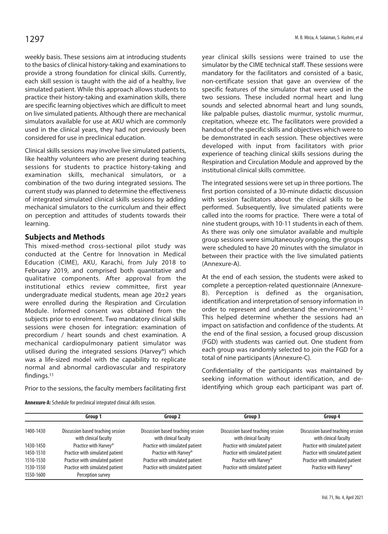weekly basis. These sessions aim at introducing students to the basics of clinical history-taking and examinations to provide a strong foundation for clinical skills. Currently, each skill session is taught with the aid of a healthy, live simulated patient. While this approach allows students to practice their history-taking and examination skills, there are specific learning objectives which are difficult to meet on live simulated patients. Although there are mechanical simulators available for use at AKU which are commonly used in the clinical years, they had not previously been considered for use in preclinical education.

Clinical skills sessions may involve live simulated patients, like healthy volunteers who are present during teaching sessions for students to practice history-taking and examination skills, mechanical simulators, or a combination of the two during integrated sessions. The current study was planned to determine the effectiveness of integrated simulated clinical skills sessions by adding mechanical simulators to the curriculum and their effect on perception and attitudes of students towards their learning.

#### **Subjects and Methods**

This mixed-method cross-sectional pilot study was conducted at the Centre for Innovation in Medical Education (CIME), AKU, Karachi, from July 2018 to February 2019, and comprised both quantitative and qualitative components. After approval from the institutional ethics review committee, first year undergraduate medical students, mean age 20±2 years were enrolled during the Respiration and Circulation Module. Informed consent was obtained from the subjects prior to enrolment. Two mandatory clinical skills sessions were chosen for integration: examination of precordium / heart sounds and chest examination. A mechanical cardiopulmonary patient simulator was utilised during the integrated sessions (Harvey®) which was a life-sized model with the capability to replicate normal and abnormal cardiovascular and respiratory findings.11

Prior to the sessions, the faculty members facilitating first

**Annexure-A:** Schedule for preclinical integrated clinical skills session.

year clinical skills sessions were trained to use the simulator by the CIME technical staff. These sessions were mandatory for the facilitators and consisted of a basic, non-certificate session that gave an overview of the specific features of the simulator that were used in the two sessions. These included normal heart and lung sounds and selected abnormal heart and lung sounds, like palpable pulses, diastolic murmur, systolic murmur, crepitation, wheeze etc. The facilitators were provided a handout of the specific skills and objectives which were to be demonstrated in each session. These objectives were developed with input from facilitators with prior experience of teaching clinical skills sessions during the Respiration and Circulation Module and approved by the institutional clinical skills committee.

The integrated sessions were set up in three portions. The first portion consisted of a 30-minute didactic discussion with session facilitators about the clinical skills to be performed. Subsequently, live simulated patients were called into the rooms for practice. There were a total of nine student groups, with 10-11 students in each of them. As there was only one simulator available and multiple group sessions were simultaneously ongoing, the groups were scheduled to have 20 minutes with the simulator in between their practice with the live simulated patients (Annexure-A).

At the end of each session, the students were asked to complete a perception-related questionnaire (Annexure-B). Perception is defined as the organisation, identification and interpretation of sensory information in order to represent and understand the environment.12 This helped determine whether the sessions had an impact on satisfaction and confidence of the students. At the end of the final session, a focused group discussion (FGD) with students was carried out. One student from each group was randomly selected to join the FGD for a total of nine participants (Annexure-C).

Confidentiality of the participants was maintained by seeking information without identification, and deidentifying which group each participant was part of.

|           | Group 1                                                    | Group 2                                                    | Group 3                                                    | Group 4                                                    |
|-----------|------------------------------------------------------------|------------------------------------------------------------|------------------------------------------------------------|------------------------------------------------------------|
| 1400-1430 | Discussion based teaching session<br>with clinical faculty | Discussion based teaching session<br>with clinical faculty | Discussion based teaching session<br>with clinical faculty | Discussion based teaching session<br>with clinical faculty |
| 1430-1450 | Practice with Harvey <sup>®</sup>                          | Practice with simulated patient                            | Practice with simulated patient                            | Practice with simulated patient                            |
| 1450-1510 | Practice with simulated patient                            | Practice with Harvey <sup>®</sup>                          | Practice with simulated patient                            | Practice with simulated patient                            |
| 1510-1530 | Practice with simulated patient                            | Practice with simulated patient                            | Practice with Harvey®                                      | Practice with simulated patient                            |
| 1530-1550 | Practice with simulated patient                            | Practice with simulated patient                            | Practice with simulated patient                            | Practice with Harvey <sup>®</sup>                          |
| 1550-1600 | Perception survey                                          |                                                            |                                                            |                                                            |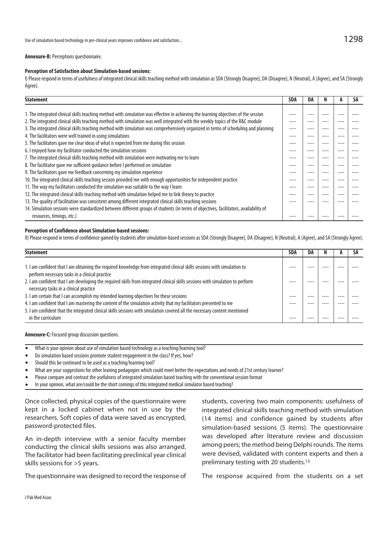#### **Annexure-B:** Perceptions questionnaire.

#### **Perception of Satisfaction about Simulation-based sessions:**

I) Please respond in terms of usefulness of integrated clinical skills teaching method with simulation as SDA (Strongly Disagree), DA (Disagree), N (Neutral), A (Agree), and SA (Strongly Agree).

| <b>Statement</b>                                                                                                                      | <b>SDA</b> | DA   |      | SΑ |
|---------------------------------------------------------------------------------------------------------------------------------------|------------|------|------|----|
|                                                                                                                                       |            |      |      |    |
| 1. The integrated clinical skills teaching method with simulation was effective in achieving the learning objectives of the session   |            |      |      |    |
| 2. The integrated clinical skills teaching method with simulation was well integrated with the weekly topics of the R&C module        |            | ---  |      |    |
| 3. The integrated clinical skills teaching method with simulation was comprehensively organized in terms of scheduling and planning   |            |      |      |    |
| 4. The facilitators were well trained in using simulations                                                                            |            |      |      |    |
| 5. The facilitators gave me clear ideas of what is expected from me during this session                                               |            |      |      |    |
| 6. I enjoyed how my facilitator conducted the simulation sessions                                                                     | ----       |      |      |    |
| 7. The integrated clinical skills teaching method with simulation were motivating me to learn                                         |            | ---- |      |    |
| 8. The facilitator gave me sufficient guidance before I performed on simulation                                                       |            | ---- | ---- |    |
| 9. The facilitators gave me feedback concerning my simulation experience                                                              |            |      |      |    |
| 10. The integrated clinical skills teaching session provided me with enough opportunities for independent practice                    |            | ---  |      |    |
| 11. The way my facilitators conducted the simulation was suitable to the way I learn                                                  |            | ---- |      |    |
| 12. The integrated clinical skills teaching method with simulation helped me to link theory to practice                               |            | ---- | ---- |    |
| 13. The quality of facilitation was consistent among different integrated clinical skills teaching sessions                           |            |      |      |    |
| 14. Simulation sessions were standardized between different groups of students (in terms of objectives, facilitators, availability of |            |      |      |    |
| resources, timings, etc.)                                                                                                             |            |      |      |    |

#### **Perception of Confidence about Simulation-based sessions:**

II) Please respond in terms of confidence gained by students after simulation-based sessions as SDA (Strongly Disagree), DA (Disagree), N (Neutral), A (Agree), and SA (Strongly Agree).

| <b>Statement</b>                                                                                                                                                                                                                                                     |  | DA | н | SΑ |
|----------------------------------------------------------------------------------------------------------------------------------------------------------------------------------------------------------------------------------------------------------------------|--|----|---|----|
| 1. I am confident that I am obtaining the required knowledge from integrated clinical skills sessions with simulation to<br>perform necessary tasks in a clinical practice                                                                                           |  |    |   |    |
| 2. I am confident that I am developing the required skills from integrated clinical skills sessions with simulation to perform<br>necessary tasks in a clinical practice                                                                                             |  |    |   |    |
| 3. I am certain that I can accomplish my intended learning objectives for these sessions                                                                                                                                                                             |  |    |   |    |
| 4. I am confident that I am mastering the content of the simulation activity that my facilitators presented to me<br>5. I am confident that the integrated clinical skills sessions with simulation covered all the necessary content mentioned<br>in the curriculum |  |    |   |    |

**Annexure-C:** Focused group discussion questions.

- <sup>u</sup> What is your opinion about use of simulation based technology as a teaching/learning tool?
- Do simulation based sessions promote student engagement in the class? If yes, how?
- Should this be continued to be used as a teaching/learning tool?
- What are your suggestions for other leaning pedagogies which could meet better the expectations and needs of 21st century learner?
- Please compare and contrast the usefulness of integrated simulation based teaching with the conventional session format
- In your opinion, what are/could be the short comings of this integrated medical simulator based teaching?

Once collected, physical copies of the questionnaire were kept in a locked cabinet when not in use by the researchers. Soft copies of data were saved as encrypted, password-protected files.

An in-depth interview with a senior faculty member conducting the clinical skills sessions was also arranged. The facilitator had been facilitating preclinical year clinical skills sessions for >5 years.

The questionnaire was designed to record the response of

students, covering two main components: usefulness of integrated clinical skills teaching method with simulation (14 items) and confidence gained by students after simulation-based sessions (5 items). The questionnaire was developed after literature review and discussion among peers; the method being Delphi rounds. The items were devised, validated with content experts and then a preliminary testing with 20 students.13

The response acquired from the students on a set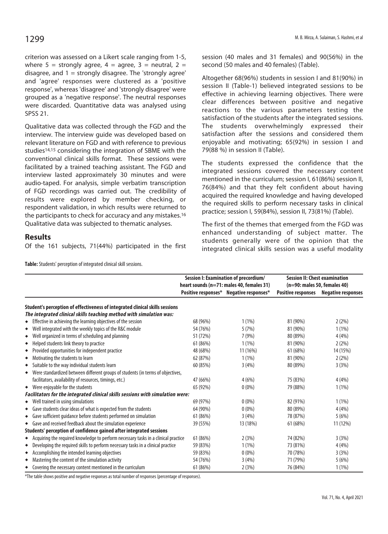criterion was assessed on a Likert scale ranging from 1-5, where  $5 =$  strongly agree,  $4 =$  agree,  $3 =$  neutral,  $2 =$ disagree, and  $1 =$  strongly disagree. The 'strongly agree' and 'agree' responses were clustered as a 'positive response', whereas 'disagree' and 'strongly disagree' were grouped as a 'negative response'. The neutral responses were discarded. Quantitative data was analysed using SPSS 21.

Qualitative data was collected through the FGD and the interview. The interview guide was developed based on relevant literature on FGD and with reference to previous studies14,15 considering the integration of SBME with the conventional clinical skills format. These sessions were facilitated by a trained teaching assistant. The FGD and interview lasted approximately 30 minutes and were audio-taped. For analysis, simple verbatim transcription of FGD recordings was carried out. The credibility of results were explored by member checking, or respondent validation, in which results were returned to the participants to check for accuracy and any mistakes.16 Qualitative data was subjected to thematic analyses.

#### **Results**

Of the 161 subjects, 71(44%) participated in the first

session (40 males and 31 females) and 90(56%) in the second (50 males and 40 females) (Table).

Altogether 68(96%) students in session I and 81(90%) in session II (Table-1) believed integrated sessions to be effective in achieving learning objectives. There were clear differences between positive and negative reactions to the various parameters testing the satisfaction of the students after the integrated sessions. The students overwhelmingly expressed their satisfaction after the sessions and considered them enjoyable and motivating; 65(92%) in session I and 79(88 %) in session II (Table).

The students expressed the confidence that the integrated sessions covered the necessary content mentioned in the curriculum; session I, 61(86%) session II, 76(84%) and that they felt confident about having acquired the required knowledge and having developed the required skills to perform necessary tasks in clinical practice; session I, 59(84%), session II, 73(81%) (Table).

The first of the themes that emerged from the FGD was enhanced understanding of subject matter. The students generally were of the opinion that the integrated clinical skills session was a useful modality

|                                                                                         | Session I: Examination of precordium/<br>heart sounds (n=71: males 40, females 31) |                                         | <b>Session II: Chest examination</b><br>(n=90: males 50, females 40) |                           |
|-----------------------------------------------------------------------------------------|------------------------------------------------------------------------------------|-----------------------------------------|----------------------------------------------------------------------|---------------------------|
|                                                                                         |                                                                                    | Positive responses* Negative responses* | <b>Positive responses</b>                                            | <b>Negative responses</b> |
| Student's perception of effectiveness of integrated clinical skills sessions            |                                                                                    |                                         |                                                                      |                           |
| The integrated clinical skills teaching method with simulation was:                     |                                                                                    |                                         |                                                                      |                           |
| Effective in achieving the learning objectives of the session<br>٠                      | 68 (96%)                                                                           | $1(1\%)$                                | 81 (90%)                                                             | 2(2%)                     |
| Well integrated with the weekly topics of the R&C module<br>٠                           | 54 (76%)                                                                           | 5(7%)                                   | 81 (90%)                                                             | $1(1\%)$                  |
| Well organized in terms of scheduling and planning<br>٠                                 | 51 (72%)                                                                           | 7(9%)                                   | 80 (89%)                                                             | 4(4%)                     |
| Helped students link theory to practice<br>٠                                            | 61 (86%)                                                                           | 1(1%)                                   | 81 (90%)                                                             | 2(2%)                     |
| Provided opportunities for independent practice<br>٠                                    | 48 (68%)                                                                           | 11 (16%)                                | 61 (68%)                                                             | 14 (15%)                  |
| Motivating the students to learn<br>٠                                                   | 62 (87%)                                                                           | $1(1\%)$                                | 81 (90%)                                                             | 2(2%)                     |
| Suitable to the way individual students learn<br>٠                                      | 60 (85%)                                                                           | 3(4%)                                   | 80 (89%)                                                             | 3(3%)                     |
| Were standardized between different groups of students (in terms of objectives,<br>٠    |                                                                                    |                                         |                                                                      |                           |
| facilitators, availability of resources, timings, etc.)                                 | 47 (66%)                                                                           | 4(6%)                                   | 75 (83%)                                                             | 4(4%)                     |
| • Were enjoyable for the students                                                       | 65 (92%)                                                                           | $0(0\%)$                                | 79 (88%)                                                             | $1(1\%)$                  |
| Facilitators for the integrated clinical skills sessions with simulation were:          |                                                                                    |                                         |                                                                      |                           |
| • Well trained in using simulations                                                     | 69 (97%)                                                                           | $0(0\%)$                                | 82 (91%)                                                             | 1(1%)                     |
| • Gave students clear ideas of what is expected from the students                       | 64 (90%)                                                                           | $0(0\%)$                                | 80 (89%)                                                             | 4(4%)                     |
| • Gave sufficient guidance before students performed on simulation                      | 61 (86%)                                                                           | 3(4%)                                   | 78 (87%)                                                             | 5(6%)                     |
| • Gave and received feedback about the simulation experience                            | 39 (55%)                                                                           | 13 (18%)                                | 61 (68%)                                                             | 11 (12%)                  |
| Students' perception of confidence gained after integrated sessions                     |                                                                                    |                                         |                                                                      |                           |
| Acquiring the required knowledge to perform necessary tasks in a clinical practice<br>٠ | 61 (86%)                                                                           | 2(3%)                                   | 74 (82%)                                                             | 3(3%)                     |
| Developing the required skills to perform necessary tasks in a clinical practice<br>٠   | 59 (83%)                                                                           | $1(1\%)$                                | 73 (81%)                                                             | 4(4%)                     |
| Accomplishing the intended learning objectives<br>٠                                     | 59 (83%)                                                                           | $0(0\%)$                                | 70 (78%)                                                             | 3(3%)                     |
| Mastering the content of the simulation activity<br>٠                                   | 54 (76%)                                                                           | 3(4%)                                   | 71 (79%)                                                             | 5(6%)                     |
| • Covering the necessary content mentioned in the curriculum                            | 61 (86%)                                                                           | 2(3%)                                   | 76 (84%)                                                             | $1(1\%)$                  |

**Table:** Students' perception of integrated clinical skill sessions.

\*The table shows positive and negative responses as total number of responses (percentage of responses).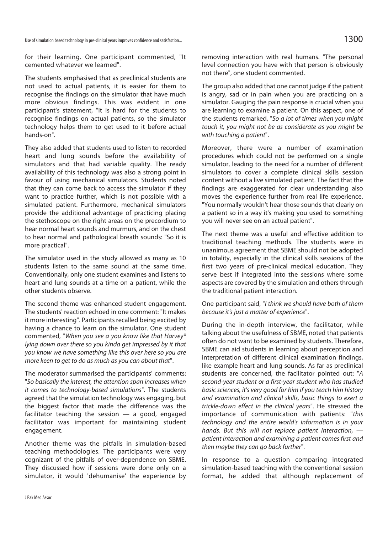Use of simulation based technology in pre-clinical years improves confidence and satisfaction...  $1300\,$ 

for their learning. One participant commented, "It cemented whatever we learned".

The students emphasised that as preclinical students are not used to actual patients, it is easier for them to recognise the findings on the simulator that have much more obvious findings. This was evident in one participant's statement, "It is hard for the students to recognise findings on actual patients, so the simulator technology helps them to get used to it before actual hands-on".

They also added that students used to listen to recorded heart and lung sounds before the availability of simulators and that had variable quality. The ready availability of this technology was also a strong point in favour of using mechanical simulators. Students noted that they can come back to access the simulator if they want to practice further, which is not possible with a simulated patient. Furthermore, mechanical simulators provide the additional advantage of practicing placing the stethoscope on the right areas on the precordium to hear normal heart sounds and murmurs, and on the chest to hear normal and pathological breath sounds: "So it is more practical".

The simulator used in the study allowed as many as 10 students listen to the same sound at the same time. Conventionally, only one student examines and listens to heart and lung sounds at a time on a patient, while the other students observe.

The second theme was enhanced student engagement. The students' reaction echoed in one comment: "It makes it more interesting". Participants recalled being excited by having a chance to learn on the simulator. One student commented, "When you see a you know like that Harvey® lying down over there so you kinda get impressed by it that you know we have something like this over here so you are more keen to get to do as much as you can about that".

The moderator summarised the participants' comments: "So basically the interest, the attention span increases when it comes to technology-based simulations". The students agreed that the simulation technology was engaging, but the biggest factor that made the difference was the facilitator teaching the session  $-$  a good, engaged facilitator was important for maintaining student engagement.

Another theme was the pitfalls in simulation-based teaching methodologies. The participants were very cognizant of the pitfalls of over-dependence on SBME. They discussed how if sessions were done only on a simulator, it would 'dehumanise' the experience by removing interaction with real humans. "The personal level connection you have with that person is obviously not there", one student commented.

The group also added that one cannot judge if the patient is angry, sad or in pain when you are practicing on a simulator. Gauging the pain response is crucial when you are learning to examine a patient. On this aspect, one of the students remarked, "So a lot of times when you might touch it, you might not be as considerate as you might be with touching a patient".

Moreover, there were a number of examination procedures which could not be performed on a single simulator, leading to the need for a number of different simulators to cover a complete clinical skills session content without a live simulated patient. The fact that the findings are exaggerated for clear understanding also moves the experience further from real life experience. "You normally wouldn't hear those sounds that clearly on a patient so in a way it's making you used to something you will never see on an actual patient".

The next theme was a useful and effective addition to traditional teaching methods. The students were in unanimous agreement that SBME should not be adopted in totality, especially in the clinical skills sessions of the first two years of pre-clinical medical education. They serve best if integrated into the sessions where some aspects are covered by the simulation and others through the traditional patient interaction.

One participant said, "I think we should have both of them because it's just a matter of experience".

During the in-depth interview, the facilitator, while talking about the usefulness of SBME, noted that patients often do not want to be examined by students. Therefore, SBME can aid students in learning about perception and interpretation of different clinical examination findings, like example heart and lung sounds. As far as preclinical students are concerned, the facilitator pointed out: "A second-year student or a first-year student who has studied basic sciences, it's very good for him if you teach him history and examination and clinical skills, basic things to exert a trickle-down effect in the clinical years". He stressed the importance of communication with patients: "this technology and the entire world's information is in your hands. But this will not replace patient interaction,  $$ patient interaction and examining a patient comes first and then maybe they can go back further".

In response to a question comparing integrated simulation-based teaching with the conventional session format, he added that although replacement of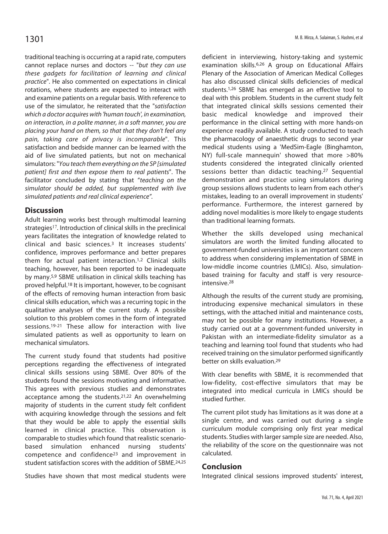traditional teaching is occurring at a rapid rate, computers cannot replace nurses and doctors -- "but they can use these gadgets for facilitation of learning and clinical practice". He also commented on expectations in clinical rotations, where students are expected to interact with and examine patients on a regular basis. With reference to use of the simulator, he reiterated that the "satisfaction which a doctor acquires with 'human touch', in examination, on interaction, in a polite manner, in a soft manner, you are placing your hand on them, so that that they don't feel any pain, taking care of privacy is incomparable". This satisfaction and bedside manner can be learned with the aid of live simulated patients, but not on mechanical simulators: "You teach them everything on the SP [simulated patient] first and then expose them to real patients". The facilitator concluded by stating that "teaching on the simulator should be added, but supplemented with live simulated patients and real clinical experience".

### **Discussion**

Adult learning works best through multimodal learning strategies<sup>17</sup>. Introduction of clinical skills in the preclinical years facilitates the integration of knowledge related to clinical and basic sciences.3 It increases students' confidence, improves performance and better prepares them for actual patient interaction.1,2 Clinical skills teaching, however, has been reported to be inadequate by many.5,9 SBME utilisation in clinical skills teaching has proved helpful.18 It is important, however, to be cognisant of the effects of removing human interaction from basic clinical skills education, which was a recurring topic in the qualitative analyses of the current study. A possible solution to this problem comes in the form of integrated sessions.19-21 These allow for interaction with live simulated patients as well as opportunity to learn on mechanical simulators.

The current study found that students had positive perceptions regarding the effectiveness of integrated clinical skills sessions using SBME. Over 80% of the students found the sessions motivating and informative. This agrees with previous studies and demonstrates acceptance among the students.<sup>21,22</sup> An overwhelming majority of students in the current study felt confident with acquiring knowledge through the sessions and felt that they would be able to apply the essential skills learned in clinical practice. This observation is comparable to studies which found that realistic scenariobased simulation enhanced nursing students' competence and confidence23 and improvement in student satisfaction scores with the addition of SBME.24,25

Studies have shown that most medical students were

deficient in interviewing, history-taking and systemic examination skills.6,26 A group on Educational Affairs Plenary of the Association of American Medical Colleges has also discussed clinical skills deficiencies of medical students.1,26 SBME has emerged as an effective tool to deal with this problem. Students in the current study felt that integrated clinical skills sessions cemented their basic medical knowledge and improved their performance in the clinical setting with more hands-on experience readily available. A study conducted to teach the pharmacology of anaesthetic drugs to second year medical students using a 'MedSim-Eagle (Binghamton, NY) full-scale mannequin' showed that more >80% students considered the integrated clinically oriented sessions better than didactic teaching.27 Sequential demonstration and practice using simulators during group sessions allows students to learn from each other's mistakes, leading to an overall improvement in students' performance. Furthermore, the interest garnered by adding novel modalities is more likely to engage students than traditional learning formats.

Whether the skills developed using mechanical simulators are worth the limited funding allocated to government-funded universities is an important concern to address when considering implementation of SBME in low-middle income countries (LMICs). Also, simulationbased training for faculty and staff is very resourceintensive.28

Although the results of the current study are promising, introducing expensive mechanical simulators in these settings, with the attached initial and maintenance costs, may not be possible for many institutions. However, a study carried out at a government-funded university in Pakistan with an intermediate-fidelity simulator as a teaching and learning tool found that students who had received training on the simulator performed significantly better on skills evaluation.29

With clear benefits with SBME, it is recommended that low-fidelity, cost-effective simulators that may be integrated into medical curricula in LMICs should be studied further.

The current pilot study has limitations as it was done at a single centre, and was carried out during a single curriculum module comprising only first year medical students. Studies with larger sample size are needed. Also, the reliability of the score on the questionnaire was not calculated.

### **Conclusion**

Integrated clinical sessions improved students' interest,